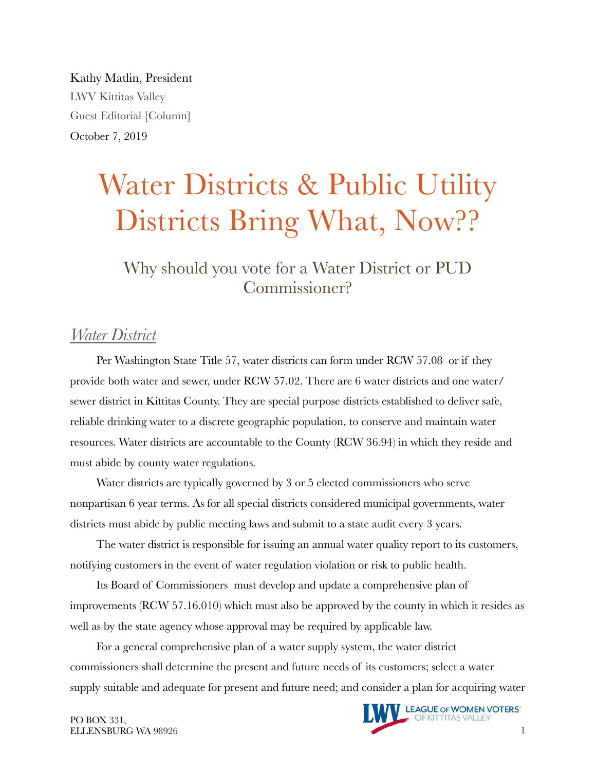Kathy Matlin, President LWV Kittitas Valley Guest Editorial [Column] October 7, 2019

# Water Districts & Public Utility Districts Bring What, Now??

Why should you vote for a Water District or PUD Commissioner?

### *Water District*

Per Washington State Title 57, water districts can form under RCW 57.08 or if they provide both water and sewer, under RCW 57.02. There are 6 water districts and one water/ sewer district in Kittitas County. They are special purpose districts established to deliver safe, reliable drinking water to a discrete geographic population, to conserve and maintain water resources. Water districts are accountable to the County (RCW 36.94) in which they reside and must abide by county water regulations.

Water districts are typically governed by 3 or 5 elected commissioners who serve nonpartisan 6 year terms. As for all special districts considered municipal governments, water districts must abide by public meeting laws and submit to a state audit every 3 years.

The water district is responsible for issuing an annual water quality report to its customers, notifying customers in the event of water regulation violation or risk to public health.

Its Board of Commissioners must develop and update a comprehensive plan of improvements (RCW 57.16.010) which must also be approved by the county in which it resides as well as by the state agency whose approval may be required by applicable law.

For a general comprehensive plan of a water supply system, the water district commissioners shall determine the present and future needs of its customers; select a water supply suitable and adequate for present and future need; and consider a plan for acquiring water



PO BOX 331,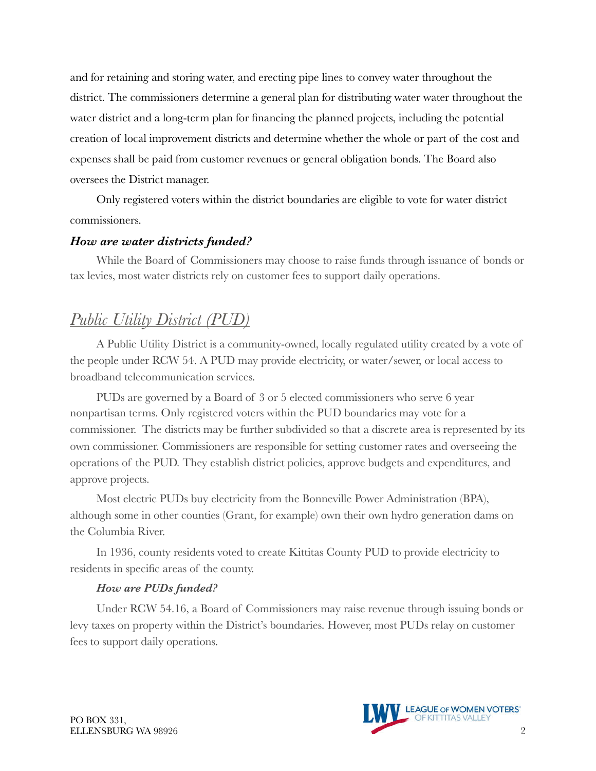and for retaining and storing water, and erecting pipe lines to convey water throughout the district. The commissioners determine a general plan for distributing water water throughout the water district and a long-term plan for financing the planned projects, including the potential creation of local improvement districts and determine whether the whole or part of the cost and expenses shall be paid from customer revenues or general obligation bonds. The Board also oversees the District manager.

Only registered voters within the district boundaries are eligible to vote for water district commissioners.

#### *How are water districts funded?*

While the Board of Commissioners may choose to raise funds through issuance of bonds or tax levies, most water districts rely on customer fees to support daily operations.

## *Public Utility District (PUD)*

A Public Utility District is a community-owned, locally regulated utility created by a vote of the people under RCW 54. A PUD may provide electricity, or water/sewer, or local access to broadband telecommunication services.

PUDs are governed by a Board of 3 or 5 elected commissioners who serve 6 year nonpartisan terms. Only registered voters within the PUD boundaries may vote for a commissioner. The districts may be further subdivided so that a discrete area is represented by its own commissioner. Commissioners are responsible for setting customer rates and overseeing the operations of the PUD. They establish district policies, approve budgets and expenditures, and approve projects.

Most electric PUDs buy electricity from the Bonneville Power Administration (BPA), although some in other counties (Grant, for example) own their own hydro generation dams on the Columbia River.

In 1936, county residents voted to create Kittitas County PUD to provide electricity to residents in specific areas of the county.

#### *How are PUDs funded?*

Under RCW 54.16, a Board of Commissioners may raise revenue through issuing bonds or levy taxes on property within the District's boundaries. However, most PUDs relay on customer fees to support daily operations.